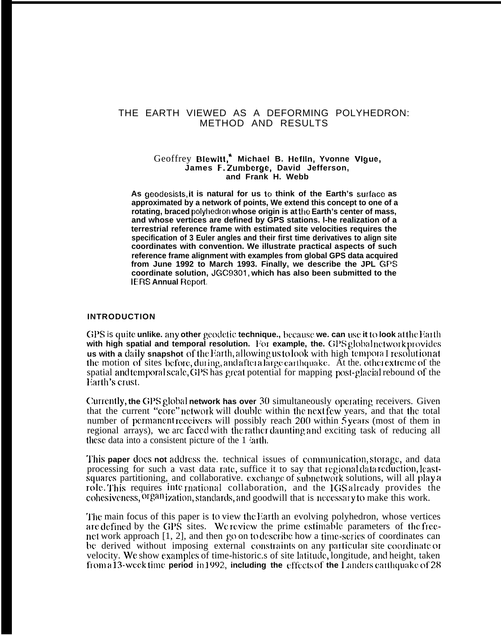## THE EARTH VIEWED AS A DEFORMING POLYHEDRON: METHOD AND RESULTS

#### Geoffrey Blewitt,\* **Michael B. Heflin, Yvonne Vigue, James F.** Zumberge, **David Jefferson, and Frank H. Webb**

As geodesists, it is natural for us to think of the Earth's surface as **approximated by a network of points, We extend this concept to one of a** rotating, braced polyhedron whose origin is at the Earth's center of mass, **and whose vertices are defined by GPS stations. l-he realization of a terrestrial reference frame with estimated site velocities requires the specification of 3 Euler angles and their first time derivatives to align site coordinates with convention. We illustrate practical aspects of such reference frame alignment with examples from global GPS data acquired from June 1992 to March 1993. Finally, we describe the JPL GF'S coordinate solution, JGC9301, which has also been submitted to the IERS Annual Report**

#### **INTRODUCTION**

GPS is quite unlike, any other geodetic technique., because we. can use it to look at the Earth **with high spatial and temporal resolution.** For example, the. GPS global network provides **us with a daily snapshot** of the Earth, allowing us to look with high tempora I resolution at the motion of sites before, during, and after a large earth quake. At the other extreme of the spatial and temporal scale, GPS has great potential for mapping post-glacial rebound of the Earth's crust.

Currently, the GPS global network has over 30 simultaneously operating receivers. Given that the current "core" network will double within the next few years, and that the total number of permanent receivers will possibly reach 200 within  $\bar{5}$  years (most of them in regional arrays), we arc faced with the rather daunting and exciting task of reducing all these data into a consistent picture of the 1  $\sinh$ .

This **paper** does not address the. technical issues of communication, storage, and data processing for such a vast data rate, suffice it to say that regional data reduction, leastsquares partitioning, and collaborative. cxchange of subnetwork solutions, will all play a role. This requires international collaboration, and the IGS already provides the cohesiveness, organization, standards, and goodwill that is necessary to make this work.

The main focus of this paper is to view the Earth an evolving polyhedron, whose vertices are defined by the GPS sites. We review the prime estimable parameters of the freenet work approach  $[1, 2]$ , and then go on to describe how a time-series of coordinates can be derived without imposing external constraints on any particular site coordinate or velocity. We show examples of time-historic.s of site latitude, longitude, and height, taken *from a 13-week time period in 1992, including the effects of the Landers carthquake of 28*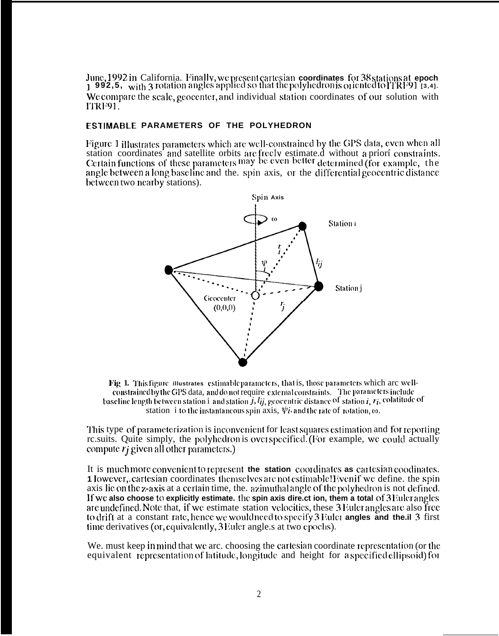June, 1992 in California. Finally, we present cartesian coordinates for 38 stations at epoch 1 992,5, with 3 rotation angles applied so that the polyhedronis oriented to ITRF91 [3,4]. We compare the scale, geocenter, and individual station coordinates of our solution with ITRF91.

## **ESTIMABLE PARAMETERS OF THE POLYHEDRON**

Figure 1 illustrates parameters which are well-constrained by the GPS data, even when all station coordinates and satellite orbits are freely estimate.d without a priori constraints. Certain functions of these parameters may be even better determined (for example, the angle between a long baseline and the, spin axis, or the differential geocentric distance between two nearby stations).



Fig 1. This figure illustrates estimable parameters, that is, those parameters which are wellconstrained by the GPS data, and do not require external constraints. The parameters include baseline length between station 1 and station  $\hat{j}$ ,  $l_{ij}$ , geocentric distance of station  $i$ ,  $r_i$ , colatitude of station *i* to the instantaneous spin axis,  $\psi_i$  and the rate of rotation,  $\omega$ .

This type of parameterization is inconvenient for least squares estimation and for reporting relatively relatively that polyhedron is over specified. (For example, we could actually compute  $r_i$  given all other parameters.)

It is much more convenient to represent the station coordinates as cartesian coodinates. 1 lowever, cartesian coordinates themselves are not estimable! Even if we define, the spin axis lie on the z-axis at a certain time, the, azimuthal angle of the polyhedron is not defined. If we also choose to explicitly estimate. the spin axis direct ion, them a total of 3 Euler angles are undefined. Note that, if we estimate station velocities, these 3 Euler angles are also free to drift at a constant rate, hence we would need to specify 3 Euler angles and the il 3 first time derivatives (or, equivalently, 3 Euler angle s at two epochs).

We, must keep in mind that we arc, choosing the cartesian coordinate representation (or the equivalent representation of latitude, longitude and height for a specified ellipsoid) for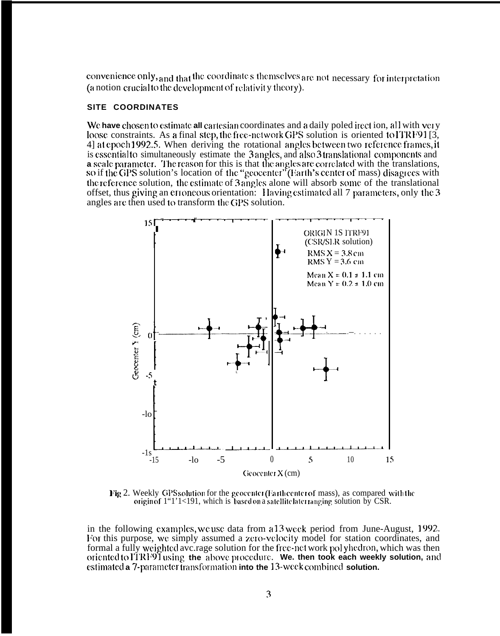convenience only, and that the coordinate's themselves are not necessary for interpretation (a notion crucial to the development of relativity theory).

## SITE COORDINATES

We have chosen to estimate all cartesian coordinates and a daily poled irect ion, all with very loose constraints. As a final step, the free-network GPS solution is oriented to ITRF91 [3, 4] at epoch 1992.5. When deriving the rotational angles between two reference frames, it is essential to simultaneously estimate the 3 angles, and also 3 translational components and a scale parameter. The reason for this is that the angles are correlated with the translations, so if the GPS solution's location of the "geocenter" (Earth's center of mass) disagrees with the reference solution, the estimate of 3 angles alone will absorb some of the translational offset, thus giving an erroneous orientation: Having estimated all 7 parameters, only the 3 angles are then used to transform the GPS solution.



Fig 2. Weekly GPS solution for the geocenter (Fartheenter of mass), as compared with the origin of 1"1'1<191, which is based on a satellite later ranging solution by CSR.

in the following examples, we use data from a 13 week period from June-August, 1992. For this purpose, we simply assumed a zero-velocity model for station coordinates, and formal a fully weighted average solution for the free-net work polyhedron, which was then oriented to ITRF91 using the above procedure. We then took each weekly solution, and estimated a 7-parameter transformation into the 13-week combined solution.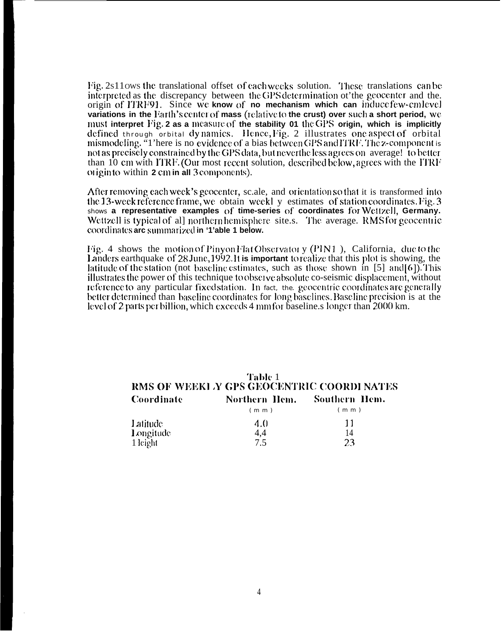Fig. 2s11 ows the translational offset of each weeks solution. These translations can be interpreted as the discrepancy between the GPS determination of the geocenter and the. origin of ITRF91. Since we know of no mechanism which can induce few-cmlevel variations in the Earth's center of mass (relative to the crust) over such a short period, we must interpret Fig. 2 as a measure of the stability 01 the GPS origin, which is implicitly defined through orbital dynamics. Hence, Fig. 2 illustrates one aspect of orbital mismodeling. "1' here is no evidence of a bias between GPS and ITRF. The z-component is not as precisely constrained by the GPS data, but neverthe less agrees on average! to better than 10 cm with ITRF. (Our most recent solution, described below, agrees with the ITRF origin to within 2 cm in all 3 components).

After removing each week's geocenter, sc.ale, and orientation so that it is transformed into the 13-week reference frame, we obtain weekly estimates of station coordinates. Fig. 3 shows a representative examples of time-series of coordinates for Wettzell, Germany. Wettzell is typical of all northern hemisphere site.s. The average. RMS for geocentric coordinates arc summarized in '1'able 1 below.

Fig. 4 shows the motion of Pinyon Flat Observator  $y$  (PIN1), California, due to the Landers earthquake of 28 June, 1992. It is important to realize that this plot is showing, the latitude of the station (not baseline estimates, such as those shown in  $[5]$  and  $[6]$ ). This illustrates the power of this technique to observe absolute co-seismic displacement, without reference to any particular fixed station. In fact, the geocentric coordinates are generally better determined than baseline coordinates for long baselines. Baseline precision is at the level of 2 parts per billion, which exceeds 4 mm for baseline s longer than 2000 km.

#### Table 1 RMS OF WEEKLY GPS GEOCENTRIC COORDINATES Northern Hem. Coordinate Southern Hem.  $(m m)$  $(m<sub>m</sub>)$  $4.0$ 11 Latitude Longitude 4,4 14 23  $7.5$ 1 leight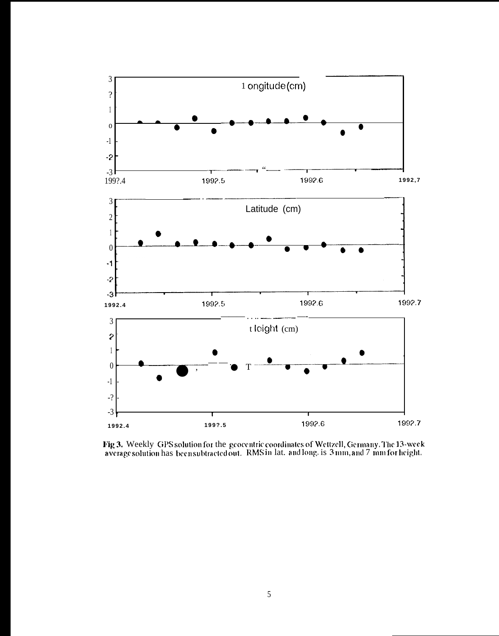

Fig 3. Weekly GPS solution for the geocentric coordinates of Wettzell, Germany. The 13-week average solution has been subtracted out. RMS in lat. and long. is 3 mm, and 7 mm for height.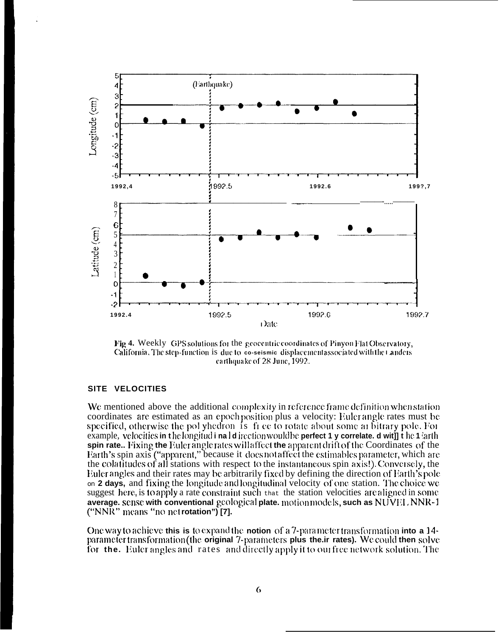

Fig 4. Weekly GPS solutions for the geocentric coordinates of Pinyon Flat Observatory, California. The step-function is due to co-seismic displacement associated with the Landers carthquake of 28 June, 1992.

### SITE VELOCITIES

We mentioned above the additional complexity in reference frame definition when station coordinates are estimated as an epoch position plus a velocity: Euler angle rates must be specified, otherwise the polyhedron is free to rotate about some arbitrary pole. For example, velocities in the longitud i nal direction would be perfect 1 y correlate. d wit] t he 1 larth spin rate.. Fixing the Euler angle rates will affect the apparent drift of the Coordinates of the Earth's spin axis ("apparent," because it does not affect the estimables parameter, which are the colatitudes of all stations with respect to the instantaneous spin axis!). Conversely, the Euler angles and their rates may be arbitrarily fixed by defining the direction of Earth's pole on 2 days, and fixing the longitude and longitudinal velocity of one station. The choice we suggest here, is to apply a rate constraint such that the station velocities are aligned in some average, sense with conventional geological plate, motion models, such as NUVEL, NNR-1 ("NNR" means "no net rotation") [7].

One way to achieve this is to expand the notion of a 7-parameter transformation into a 14parameter transformation (the original 7-parameters plus the ir rates). We could then solve for the. Euler angles and rates and directly apply it to our free network solution. The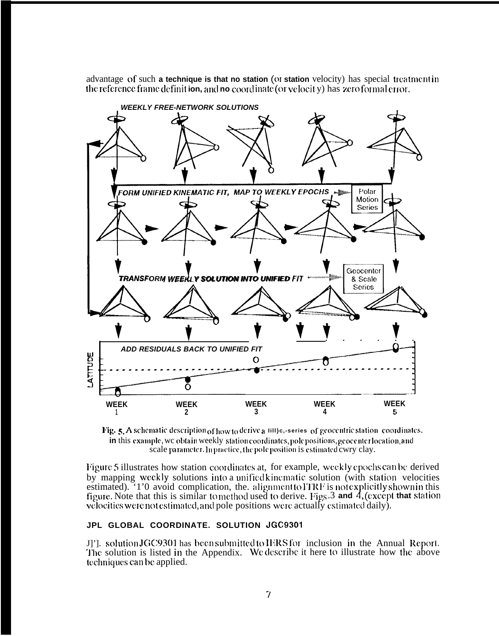advantage of such a technique is that no station (or station velocity) has special treatment in the reference frame definition, and no coordinate (or velocity) has zero formal error.



Fig. 5. A schematic description of how to derive a 1111) e,-series of geocentric station coordinates. in this example, we obtain weekly station coordinates, pole positions, geocenter location, and scale parameter. In practice, the pole position is estimated cwry clay.

Figure 5 illustrates how station coordinates at, for example, weekly epochs can be derived by mapping weekly solutions into a unified kinematic solution (with station velocities estimated). '1'0 avoid complication, the alignment to ITRF is not explicitly shown in this figure. Note that this is similar to method used to derive. Figs.  $3$  and  $4$ , (except that station velocities were not estimated, and pole positions were actually estimated daily).

## JPL GLOBAL COORDINATE. SOLUTION JGC9301

J]']. solution JGC9301 has been submitted to IERS for inclusion in the Annual Report. The solution is listed in the Appendix. We describe it here to illustrate how the above techniques can be applied.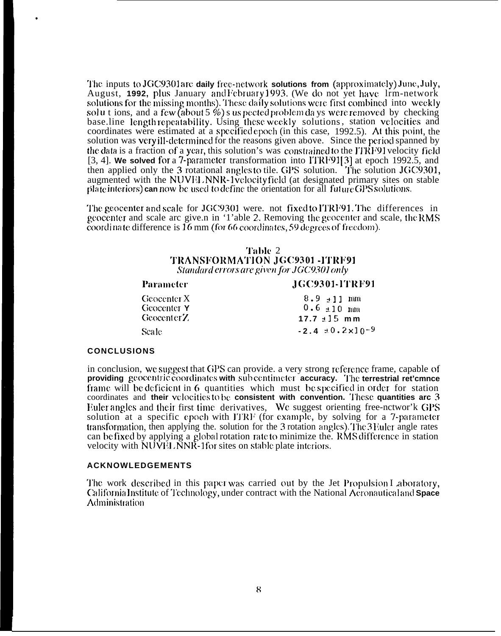**The inputs to JGC9301are daily free-network solutions from (approximately) June, July,** August, 1992, plus January and February 1993. (We do not yet have Irm-network solutions for the missing months). These daily solutions were first combined into weekly solut ions, and a few (about 5 %) s us pected problem days were removed by checking base.line length repeatability. Using these weekly solutions, station velocities and coordinates were estimated at a specified epoch (in this case, 1992.5). At this point, the solution was very ill-dctcrmincd for the reasons given above. Since the period spanned by the data is a fraction of a year, this solution's was constrained to the ITRF91 velocity field [3, 4]. We solved for a 7-parameter transformation into ITRF91<sup>[3]</sup> at epoch 1992.5, and then applied only the 3 rotational angles to tile. GPS solution. The solution JGC9301, augmented with the NUVFL, NNR-1 velocity field (at designated primary sites on stable  $\mu$  plate interiors) can now be used to define the orientation for all future GPS solutions.

The geocenter and scale for JGC9301 were. not fixed to ITRF91. The differences in geocenter and scale arc give.n in '1'able 2. Removing the geocenter and scale, the RMS coordinate difference is 16 mm (for 66 coordinates, 59 degrees of freedom).

## '1'al)le 2 TRANSFORMATION JGC9301 -ITRF91  $Standard$  errors are given for JGC9301 only

# **Paramcter IGC9301-ITRF91** Geocenter X  $8.9 \pm 11$  mm<br>Geocenter Y  $0.6 \pm 10$  mm  $0.6 \pm 10$  mm **Geocenter Z 17.7**  $\pm$ **15 mm** Scale **-2.4**  $\pm 0.2 \times 10^{-9}$

### **CONCLUSIONS**

.

in conclusion, we suggest that GPS can provide, a very strong reference frame, capable of **providing** geocentric coordinates with sub centimeter accuracy. The terrestrial ret'cmnce frame will be deficient in 6 quantities which must be specified in order for station coordinates and **their vc]ocitics t~~ bc consistent with convention. '1'hcse quantities arc 3** Fuler angles and their first time derivatives, We suggest orienting free-nctwor'k GPS solution at a specific epoch with ITRF (for example, by solving for a  $7$ -parameter transformation, then applying the solution for the 3 rotation angles). The 3 Euler angle rates can be fixed by applying a global rotation rate to minimize the. RMS difference in station velocity with  $\overline{N}$ UVI $\overline{N}$ .  $\overline{N}N\overline{R}$ -1 for sites on stable plate interiors.

#### **ACKNOWLEDGEMENTS**

The work described in this paper was carried out by the Jet Propulsion I aboratory, {klifornia ]nstitute of '1'cchnology, under contract with the National Acronauticxrl **aiid Space** Administration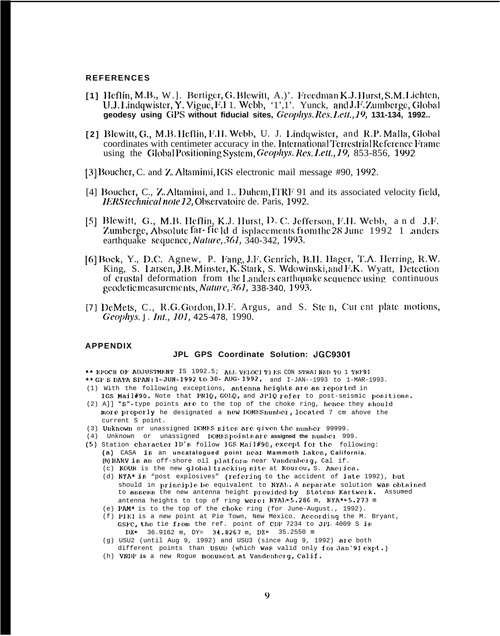#### **REFERENCES**

- [1] Heflin, M.B., W.]. Bertiger, G. Blewitt, A.)'. Freedman K.J. Hurst, S.M. Lichten, U.J. Lindqwister, Y. Vigue, F.I 1. Webb, '1', 1'. Yunck, and J.F. Zumberge, Global geodesy using GPS without fiducial sites, Geophys. Res. Lett., 19, 131-134, 1992..
- [2] Blewitt, G., M.B. Heflin, F.H. Webb, U. J. Lindqwister, and R.P. Malla, Global coordinates with centimeter accuracy in the International Terrestrial Reference Frame using the Global Positioning System, Geophys. Res. Lett., 19, 853-856, 1992
- [3] Boucher, C. and Z. Altamimi, IGS electronic mail message #90, 1992.
- [4] Boucher, C., Z. Altamimi, and 1.. Duhem, ITRF 91 and its associated velocity field, IERS technical note 12, Observatoire de. Paris, 1992.
- [5] Blewitt, G., M.B. Heflin, K.J. Hurst, D. C. Jefferson, F.H. Webb, and J.F. Zumberge, Absolute far-fie Id d isplacements from the 28 June 1992 1 anders earthquake sequence, *Nature*, 361, 340-342, 1993.
- [6] Bock, Y., D.C. Agnew, P. Fang, J.F. Genrich, B.H. Hager, T.A. Herring, R.W. King, S. Larsen, J.B. Minster, K. Stark, S. Wdowinski, and F.K. Wyatt, Detection of crustal deformation from the Landers earthquake sequence using continuous geodetic measurements, *Nature*, 361, 338-340, 1993.
- [7] DeMets, C., R.G. Gordon, D.F. Argus, and S. Ste n, Cur ent plate motions, Geophys. J. Int., 101, 425-478, 1990.

#### **APPENDIX**

#### JPL GPS Coordinate Solution: JGC9301

\*\* EPOCH OF ADJUSTMENT IS 1992.5; ALL VELOCI TIES CON STRAINED TO 1 TRF91

- \*\* GP S DATA SPAN: 1-JUN-1992 to 30- AUG-1992, and I-JAN--1993 to 1-MAR-1993.
- (1) With the following exceptions, antenna heights are as reported in 1GS Mail#90. Note that PN1Q, GOLQ, and JP1Q refer to post-seismic positions.
- (2) A]] "S"-type points are to the top of the choke ring, hence they should more properly he designated a new DOMEShumber, located 7 cm ahove the current S point.
- (3) Unknown or unassigned DOMES sites are given the number 99999.
- (4) Unknown or unassigned DOMESpointsare assigned the number 999.
- (5) Station character ID's follow IGS Mail#90, except for the following: (a) CASA is an uncatalogued point near Mammoth Lakes, California. (h) HARV is an off-shore oil platform near Vandenberg, Cal if.
	- (c) KOUR is the new qlobal tracking site at Kourou, S. America.
	- (d) NYA\* is "post explosives" (refering to the accident of late 1992), but should in principle be equivalent to NYAL. A separate solution was obtained to assess the new antenna height provided by Statens Kartwerk. Assumed antenna heights to top of ring were: NYA1,=5.286 m, NYA\*=5.273 m
	- (e) PAM\* is to the top of the choke ring (for June-August., 1992).
	- (f) PIE1 is a new point at Pie Town, New Mexico. According the M. Bryant, GSFC, the tie from the ref. point of CDP 7234 to JPL 4009 S is  $DX^*$  36.9162 m, DY= 34.8267 m, DZ= 35.2550 m
	- (g) USU2 (until Aug 9, 1992) and USU3 (since Aug 9, 1992) are both different points than USUD (which was valid only for Jan'91 expt.)
	- (h) VNDP is a new Rogue monument at Vandenberg, Calif.